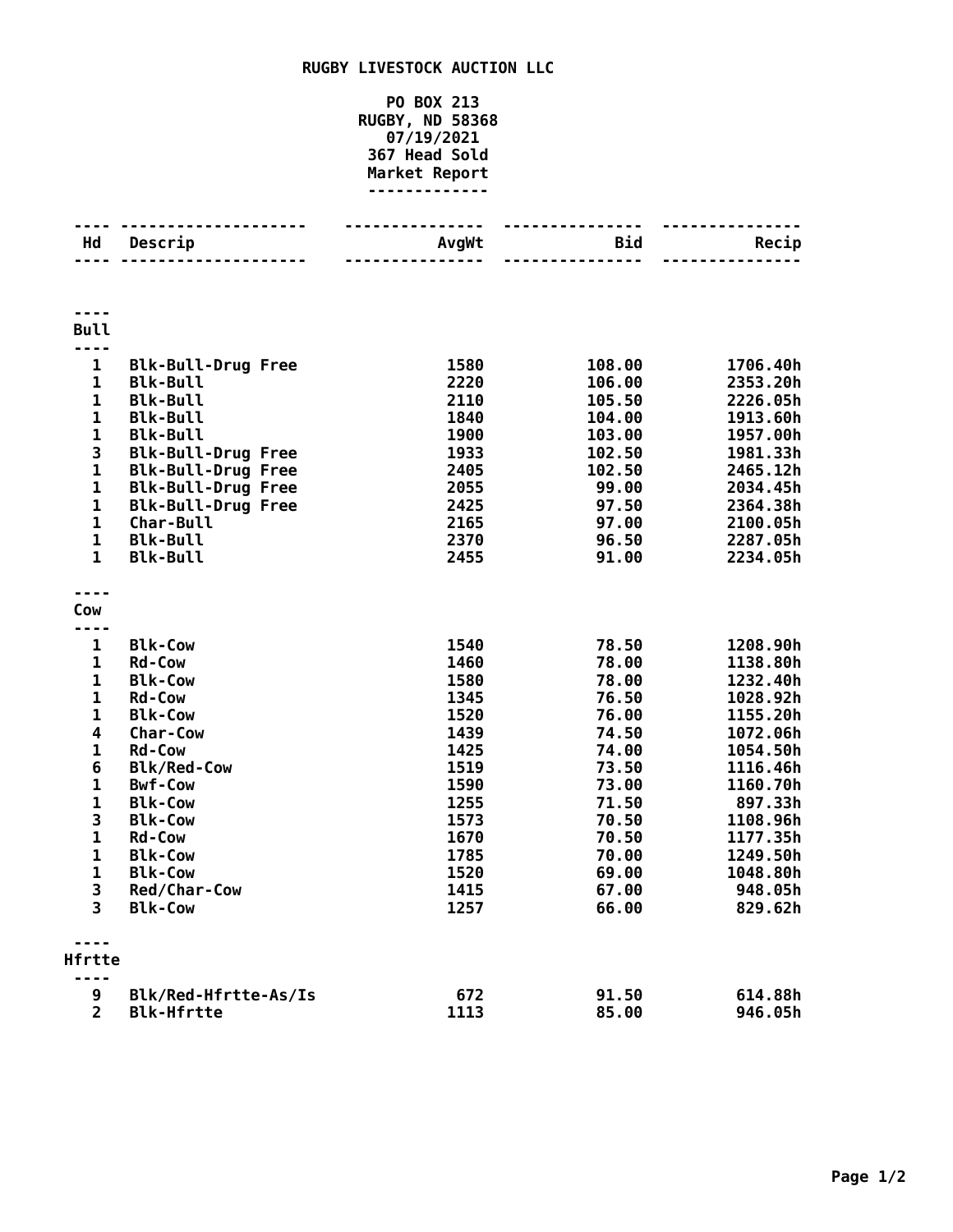## **RUGBY LIVESTOCK AUCTION LLC**

## **PO BOX 213 RUGBY, ND 58368 07/19/2021 Head Sold Market Report -------------**

| Hd                      | Descrip                         | AvgWt        | Bid            | Recip                |
|-------------------------|---------------------------------|--------------|----------------|----------------------|
|                         |                                 |              | ------         |                      |
| ----<br><b>Bull</b>     |                                 |              |                |                      |
| ----                    |                                 |              |                |                      |
| 1                       | <b>Blk-Bull-Drug Free</b>       | 1580         | 108.00         | 1706.40h             |
| $\mathbf 1$             | <b>Blk-Bull</b>                 | 2220         | 106.00         | 2353.20h             |
| $\mathbf{1}$            | <b>Blk-Bull</b>                 | 2110         | 105.50         | 2226.05h             |
| $\mathbf{1}$            | <b>Blk-Bull</b>                 | 1840         | 104.00         | 1913.60h             |
| $\mathbf{1}$            | <b>Blk-Bull</b>                 | 1900         | 103.00         | 1957.00h             |
| 3                       | <b>Blk-Bull-Drug Free</b>       | 1933         | 102.50         | 1981.33h             |
| $\mathbf{1}$            | <b>Blk-Bull-Drug Free</b>       | 2405         | 102.50         | 2465.12h             |
| $\mathbf{1}$            | <b>Blk-Bull-Drug Free</b>       | 2055         | 99.00          | 2034.45h             |
| $\mathbf{1}$            | <b>Blk-Bull-Drug Free</b>       | 2425         | 97.50          | 2364.38h             |
| $\mathbf{1}$            | Char-Bull                       | 2165         | 97.00          | 2100.05h             |
| $\mathbf{1}$            | <b>Blk-Bull</b>                 | 2370         | 96.50          | 2287.05h             |
| $\mathbf{1}$            | <b>Blk-Bull</b>                 | 2455         | 91.00          | 2234.05h             |
| ----                    |                                 |              |                |                      |
| Cow                     |                                 |              |                |                      |
| ----                    |                                 |              |                |                      |
| 1                       | <b>Blk-Cow</b>                  | 1540         | 78.50          | 1208.90h             |
| 1<br>1                  | <b>Rd-Cow</b>                   | 1460<br>1580 | 78.00<br>78.00 | 1138.80h             |
| $\mathbf{1}$            | <b>Blk-Cow</b><br><b>Rd-Cow</b> | 1345         | 76.50          | 1232.40h<br>1028.92h |
| $\mathbf{1}$            | <b>Blk-Cow</b>                  | 1520         | 76.00          | 1155.20h             |
| $\overline{\mathbf{4}}$ | Char-Cow                        | 1439         | 74.50          | 1072.06h             |
| $\mathbf 1$             | <b>Rd-Cow</b>                   | 1425         | 74.00          | 1054.50h             |
| 6                       | <b>Blk/Red-Cow</b>              | 1519         | 73.50          | 1116.46h             |
| $\mathbf{1}$            | <b>Bwf-Cow</b>                  | 1590         | 73.00          | 1160.70h             |
| $\mathbf{1}$            | <b>Blk-Cow</b>                  | 1255         | 71.50          | 897.33h              |
| 3                       | <b>Blk-Cow</b>                  | 1573         | 70.50          | 1108.96h             |
| $\mathbf{1}$            | <b>Rd-Cow</b>                   | 1670         | 70.50          | 1177.35h             |
| $\mathbf{1}$            | <b>Blk-Cow</b>                  | 1785         | 70.00          | 1249.50h             |
| $\mathbf{1}$            | <b>Blk-Cow</b>                  | 1520         | 69.00          | 1048.80h             |
| 3                       | Red/Char-Cow                    | 1415         | 67.00          | 948.05h              |
| $\overline{3}$          | <b>Blk-Cow</b>                  | 1257         | 66.00          | 829.62h              |
| ----                    |                                 |              |                |                      |
| Hfrtte                  |                                 |              |                |                      |
| 9                       | Blk/Red-Hfrtte-As/Is            | 672          | 91.50          | 614.88h              |
| $\overline{2}$          | <b>Blk-Hfrtte</b>               | 1113         | 85.00          | 946.05h              |